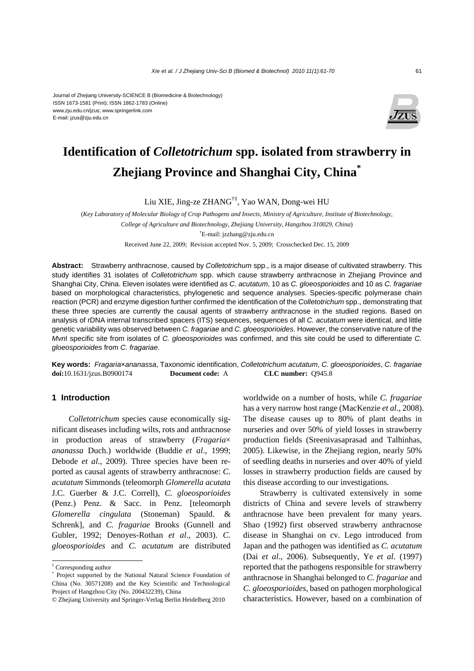#### Journal of Zhejiang University-SCIENCE B (Biomedicine & Biotechnology) ISSN 1673-1581 (Print); ISSN 1862-1783 (Online) www.zju.edu.cn/jzus; www.springerlink.com E-mail: jzus@zju.edu.cn



# **Identification of** *Colletotrichum* **spp. isolated from strawberry in Zhejiang Province and Shanghai City, China\***

Liu XIE, Jing-ze ZHANG†‡, Yao WAN, Dong-wei HU

(*Key Laboratory of Molecular Biology of Crop Pathogens and Insects, Ministry of Agriculture, Institute of Biotechnology, College of Agriculture and Biotechnology, Zhejiang University, Hangzhou 310029, China*) † E-mail: jzzhang@zju.edu.cn Received June 22, 2009; Revision accepted Nov. 5, 2009; Crosschecked Dec. 15, 2009

**Abstract:** Strawberry anthracnose, caused by *Colletotrichum* spp., is a major disease of cultivated strawberry. This study identifies 31 isolates of *Colletotrichum* spp. which cause strawberry anthracnose in Zhejiang Province and Shanghai City, China. Eleven isolates were identified as *C. acutatum*, 10 as *C. gloeosporioides* and 10 as *C. fragariae* based on morphological characteristics, phylogenetic and sequence analyses. Species-specific polymerase chain reaction (PCR) and enzyme digestion further confirmed the identification of the *Colletotrichum* spp., demonstrating that these three species are currently the causal agents of strawberry anthracnose in the studied regions. Based on analysis of rDNA internal transcribed spacers (ITS) sequences, sequences of all *C. acutatum* were identical, and little genetic variability was observed between *C. fragariae* and *C. gloeosporioides*. However, the conservative nature of the *Mvn*I specific site from isolates of *C. gloeosporioides* was confirmed, and this site could be used to differentiate *C. gloeosporioides* from *C. fragariae*.

**Key words:** *Fragaria*×*ananassa*, Taxonomic identification, *Colletotrichum acutatum*, *C. gloeosporioides*, *C. fragariae* **doi:**10.1631/jzus.B0900174 **Document code:** A **CLC number:** Q945.8

# **1 Introduction**

*Colletotrichum* species cause economically significant diseases including wilts, rots and anthracnose in production areas of strawberry (*Fragaria*× *ananassa* Duch.) worldwide (Buddie *et al*., 1999; Debode *et al*., 2009). Three species have been reported as causal agents of strawberry anthracnose: *C. acutatum* Simmonds (teleomorph *Glomerella acutata*  J.C. Guerber & J.C. Correll), *C. gloeosporioides* (Penz.) Penz. & Sacc. in Penz. [teleomorph *Glomerella cingulata* (Stoneman) Spauld. & Schrenk], and *C. fragariae* Brooks (Gunnell and Gubler, 1992; Denoyes-Rothan *et al*., 2003). *C. gloeosporioides* and *C. acutatum* are distributed worldwide on a number of hosts, while *C. fragariae* has a very narrow host range (MacKenzie *et al*., 2008). The disease causes up to 80% of plant deaths in nurseries and over 50% of yield losses in strawberry production fields (Sreenivasaprasad and Talhinhas, 2005). Likewise, in the Zhejiang region, nearly 50% of seedling deaths in nurseries and over 40% of yield losses in strawberry production fields are caused by this disease according to our investigations.

Strawberry is cultivated extensively in some districts of China and severe levels of strawberry anthracnose have been prevalent for many years. Shao (1992) first observed strawberry anthracnose disease in Shanghai on cv. Lego introduced from Japan and the pathogen was identified as *C. acutatum* (Dai *et al*., 2006). Subsequently, Ye *et al*. (1997) reported that the pathogens responsible for strawberry anthracnose in Shanghai belonged to *C. fragariae* and *C. gloeosporioides*, based on pathogen morphological characteristics. However, based on a combination of

<sup>‡</sup> Corresponding author

<sup>\*</sup> Project supported by the National Natural Science Foundation of China (No. 30571208) and the Key Scientific and Technological Project of Hangzhou City (No. 200432239), China

<sup>©</sup> Zhejiang University and Springer-Verlag Berlin Heidelberg 2010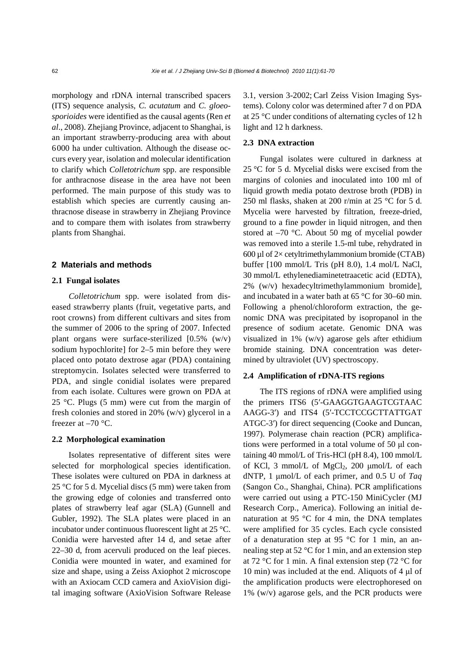morphology and rDNA internal transcribed spacers (ITS) sequence analysis, *C. acutatum* and *C. gloeosporioides* were identified as the causal agents (Ren *et al*., 2008). Zhejiang Province, adjacent to Shanghai, is an important strawberry-producing area with about 6000 ha under cultivation. Although the disease occurs every year, isolation and molecular identification to clarify which *Colletotrichum* spp. are responsible for anthracnose disease in the area have not been performed. The main purpose of this study was to establish which species are currently causing anthracnose disease in strawberry in Zhejiang Province and to compare them with isolates from strawberry plants from Shanghai.

### **2 Materials and methods**

#### **2.1 Fungal isolates**

*Colletotrichum* spp. were isolated from diseased strawberry plants (fruit, vegetative parts, and root crowns) from different cultivars and sites from the summer of 2006 to the spring of 2007. Infected plant organs were surface-sterilized [0.5% (w/v) sodium hypochlorite] for 2–5 min before they were placed onto potato dextrose agar (PDA) containing streptomycin. Isolates selected were transferred to PDA, and single conidial isolates were prepared from each isolate. Cultures were grown on PDA at 25 °C. Plugs (5 mm) were cut from the margin of fresh colonies and stored in 20% (w/v) glycerol in a freezer at  $-70$  °C.

## **2.2 Morphological examination**

Isolates representative of different sites were selected for morphological species identification. These isolates were cultured on PDA in darkness at 25 °C for 5 d. Mycelial discs (5 mm) were taken from the growing edge of colonies and transferred onto plates of strawberry leaf agar (SLA) (Gunnell and Gubler, 1992). The SLA plates were placed in an incubator under continuous fluorescent light at 25 °C. Conidia were harvested after 14 d, and setae after 22–30 d, from acervuli produced on the leaf pieces. Conidia were mounted in water, and examined for size and shape, using a Zeiss Axiophot 2 microscope with an Axiocam CCD camera and AxioVision digital imaging software (AxioVision Software Release

3.1, version 3-2002; Carl Zeiss Vision Imaging Systems). Colony color was determined after 7 d on PDA at 25 °C under conditions of alternating cycles of 12 h light and 12 h darkness.

## **2.3 DNA extraction**

Fungal isolates were cultured in darkness at 25 °C for 5 d. Mycelial disks were excised from the margins of colonies and inoculated into 100 ml of liquid growth media potato dextrose broth (PDB) in 250 ml flasks, shaken at 200 r/min at 25 °C for 5 d. Mycelia were harvested by filtration, freeze-dried, ground to a fine powder in liquid nitrogen, and then stored at –70 °C. About 50 mg of mycelial powder was removed into a sterile 1.5-ml tube, rehydrated in 600 µl of  $2\times$  cetyltrimethylammonium bromide (CTAB) buffer [100 mmol/L Tris (pH 8.0), 1.4 mol/L NaCl, 30 mmol/L ethylenediaminetetraacetic acid (EDTA), 2% (w/v) hexadecyltrimethylammonium bromide], and incubated in a water bath at 65 °C for 30–60 min. Following a phenol/chloroform extraction, the genomic DNA was precipitated by isopropanol in the presence of sodium acetate. Genomic DNA was visualized in 1% (w/v) agarose gels after ethidium bromide staining. DNA concentration was determined by ultraviolet (UV) spectroscopy.

#### **2.4 Amplification of rDNA-ITS regions**

The ITS regions of rDNA were amplified using the primers ITS6 (5′-GAAGGTGAAGTCGTAAC AAGG-3′) and ITS4 (5′-TCCTCCGCTTATTGAT ATGC-3′) for direct sequencing (Cooke and Duncan, 1997). Polymerase chain reaction (PCR) amplifications were performed in a total volume of 50 μl containing 40 mmol/L of Tris-HCl (pH 8.4), 100 mmol/L of KCl, 3 mmol/L of MgCl<sub>2</sub>, 200 μmol/L of each dNTP, 1 μmol/L of each primer, and 0.5 U of *Taq* (Sangon Co., Shanghai, China). PCR amplifications were carried out using a PTC-150 MiniCycler (MJ Research Corp., America). Following an initial denaturation at 95 °C for 4 min, the DNA templates were amplified for 35 cycles. Each cycle consisted of a denaturation step at 95 °C for 1 min, an annealing step at 52 °C for 1 min, and an extension step at 72 °C for 1 min. A final extension step (72 °C for 10 min) was included at the end. Aliquots of 4 μl of the amplification products were electrophoresed on 1% (w/v) agarose gels, and the PCR products were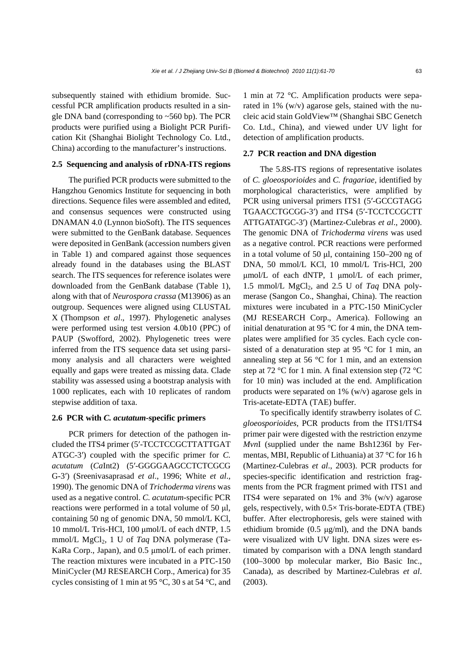subsequently stained with ethidium bromide. Successful PCR amplification products resulted in a single DNA band (corresponding to ~560 bp). The PCR products were purified using a Biolight PCR Purification Kit (Shanghai Biolight Technology Co. Ltd., China) according to the manufacturer's instructions.

## **2.5 Sequencing and analysis of rDNA-ITS regions**

The purified PCR products were submitted to the Hangzhou Genomics Institute for sequencing in both directions. Sequence files were assembled and edited, and consensus sequences were constructed using DNAMAN 4.0 (Lynnon bioSoft). The ITS sequences were submitted to the GenBank database. Sequences were deposited in GenBank (accession numbers given in Table 1) and compared against those sequences already found in the databases using the BLAST search. The ITS sequences for reference isolates were downloaded from the GenBank database (Table 1), along with that of *Neurospora crassa* (M13906) as an outgroup. Sequences were aligned using CLUSTAL X (Thompson *et al*., 1997). Phylogenetic analyses were performed using test version 4.0b10 (PPC) of PAUP (Swofford, 2002). Phylogenetic trees were inferred from the ITS sequence data set using parsimony analysis and all characters were weighted equally and gaps were treated as missing data. Clade stability was assessed using a bootstrap analysis with 1000 replicates, each with 10 replicates of random stepwise addition of taxa.

#### **2.6 PCR with** *C. acutatum***-specific primers**

PCR primers for detection of the pathogen included the ITS4 primer (5′-TCCTCCGCTTATTGAT ATGC-3′) coupled with the specific primer for *C. acutatum* (*Ca*Int2) (5′-GGGGAAGCCTCTCGCG G-3′) (Sreenivasaprasad *et al*., 1996; White *et al*., 1990). The genomic DNA of *Trichoderma virens* was used as a negative control. *C. acutatum*-specific PCR reactions were performed in a total volume of 50 μl, containing 50 ng of genomic DNA, 50 mmol/L KCl, 10 mmol/L Tris-HCl, 100 μmol/L of each dNTP, 1.5 mmol/L MgCl<sub>2</sub>, 1 U of *Taq* DNA polymerase (Ta-KaRa Corp., Japan), and 0.5 μmol/L of each primer. The reaction mixtures were incubated in a PTC-150 MiniCycler (MJ RESEARCH Corp., America) for 35 cycles consisting of 1 min at 95 °C, 30 s at 54 °C, and 1 min at 72 °C. Amplification products were separated in 1% (w/v) agarose gels, stained with the nucleic acid stain GoldView™ (Shanghai SBC Genetch Co. Ltd., China), and viewed under UV light for detection of amplification products.

## **2.7 PCR reaction and DNA digestion**

The 5.8S-ITS regions of representative isolates of *C. gloeosporioides* and *C. fragariae*, identified by morphological characteristics, were amplified by PCR using universal primers ITS1 (5′-GCCGTAGG TGAACCTGCGG-3′) and ITS4 (5′-TCCTCCGCTT ATTGATATGC-3′) (Martinez-Culebras *et al*., 2000). The genomic DNA of *Trichoderma virens* was used as a negative control. PCR reactions were performed in a total volume of 50 μl, containing 150–200 ng of DNA, 50 mmol/L KCl, 10 mmol/L Tris-HCl, 200 μmol/L of each dNTP, 1 μmol/L of each primer, 1.5 mmol/L MgCl<sub>2</sub>, and 2.5 U of *Taq DNA poly*merase (Sangon Co., Shanghai, China). The reaction mixtures were incubated in a PTC-150 MiniCycler (MJ RESEARCH Corp., America). Following an initial denaturation at 95 °C for 4 min, the DNA templates were amplified for 35 cycles. Each cycle consisted of a denaturation step at 95 °C for 1 min, an annealing step at 56 °C for 1 min, and an extension step at 72 °C for 1 min. A final extension step (72 °C for 10 min) was included at the end. Amplification products were separated on 1% (w/v) agarose gels in Tris-acetate-EDTA (TAE) buffer.

To specifically identify strawberry isolates of *C. gloeosporioides*, PCR products from the ITS1/ITS4 primer pair were digested with the restriction enzyme *Mvn*I (supplied under the name Bsh1236I by Fermentas, MBI, Republic of Lithuania) at 37 °C for 16 h (Martinez-Culebras *et al*., 2003). PCR products for species-specific identification and restriction fragments from the PCR fragment primed with ITS1 and ITS4 were separated on 1% and 3% (w/v) agarose gels, respectively, with 0.5× Tris-borate-EDTA (TBE) buffer. After electrophoresis, gels were stained with ethidium bromide  $(0.5 \text{ µg/ml})$ , and the DNA bands were visualized with UV light. DNA sizes were estimated by comparison with a DNA length standard (100–3000 bp molecular marker, Bio Basic Inc., Canada), as described by Martinez-Culebras *et al*. (2003).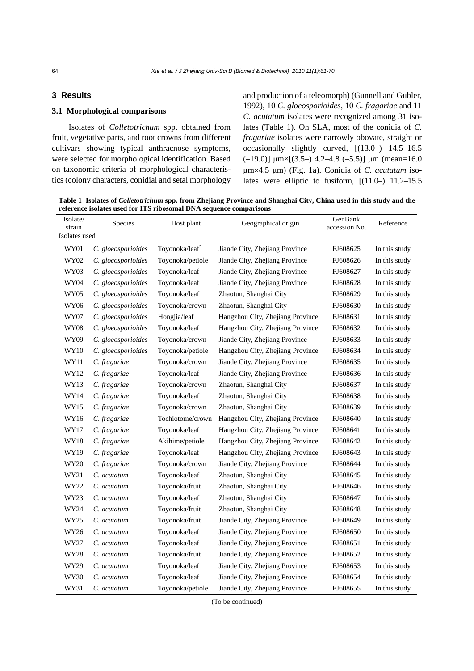## **3 Results**

## **3.1 Morphological comparisons**

Isolates of *Colletotrichum* spp. obtained from fruit, vegetative parts, and root crowns from different cultivars showing typical anthracnose symptoms, were selected for morphological identification. Based on taxonomic criteria of morphological characteristics (colony characters, conidial and setal morphology

and production of a teleomorph) (Gunnell and Gubler, 1992), 10 *C. gloeosporioides*, 10 *C. fragariae* and 11 *C. acutatum* isolates were recognized among 31 isolates (Table 1). On SLA, most of the conidia of *C. fragariae* isolates were narrowly obovate, straight or occasionally slightly curved, [(13.0–) 14.5–16.5 (-19.0)]  $\mu$ m×[(3.5–) 4.2–4.8 (-5.5)]  $\mu$ m (mean=16.0 μm×4.5 μm) (Fig. 1a). Conidia of *C. acutatum* isolates were elliptic to fusiform,  $[(11.0-) 11.2-15.5]$ 

**Table 1 Isolates of** *Colletotrichum* **spp. from Zhejiang Province and Shanghai City, China used in this study and the reference isolates used for ITS ribosomal DNA sequence comparisons**

| Isolate/<br>strain | Species            | Host plant       | Geographical origin              | GenBank<br>accession No. | Reference     |  |  |  |  |
|--------------------|--------------------|------------------|----------------------------------|--------------------------|---------------|--|--|--|--|
| Isolates used      |                    |                  |                                  |                          |               |  |  |  |  |
| WY01               | C. gloeosporioides | Toyonoka/leaf    | Jiande City, Zhejiang Province   | FJ608625                 | In this study |  |  |  |  |
| WY02               | C. gloeosporioides | Toyonoka/petiole | Jiande City, Zhejiang Province   | FJ608626                 | In this study |  |  |  |  |
| WY03               | C. gloeosporioides | Toyonoka/leaf    | Jiande City, Zhejiang Province   | FJ608627                 | In this study |  |  |  |  |
| WY04               | C. gloeosporioides | Toyonoka/leaf    | Jiande City, Zhejiang Province   | FJ608628                 | In this study |  |  |  |  |
| WY05               | C. gloeosporioides | Toyonoka/leaf    | Zhaotun, Shanghai City           | FJ608629                 | In this study |  |  |  |  |
| WY06               | C. gloeosporioides | Toyonoka/crown   | Zhaotun, Shanghai City           | FJ608630                 | In this study |  |  |  |  |
| WY07               | C. gloeosporioides | Hongjia/leaf     | Hangzhou City, Zhejiang Province | FJ608631                 | In this study |  |  |  |  |
| <b>WY08</b>        | C. gloeosporioides | Toyonoka/leaf    | Hangzhou City, Zhejiang Province | FJ608632                 | In this study |  |  |  |  |
| WY09               | C. gloeosporioides | Toyonoka/crown   | Jiande City, Zhejiang Province   | FJ608633                 | In this study |  |  |  |  |
| WY10               | C. gloeosporioides | Toyonoka/petiole | Hangzhou City, Zhejiang Province | FJ608634                 | In this study |  |  |  |  |
| WY11               | C. fragariae       | Toyonoka/crown   | Jiande City, Zhejiang Province   | FJ608635                 | In this study |  |  |  |  |
| WY12               | C. fragariae       | Toyonoka/leaf    | Jiande City, Zhejiang Province   | FJ608636                 | In this study |  |  |  |  |
| WY13               | C. fragariae       | Toyonoka/crown   | Zhaotun, Shanghai City           | FJ608637                 | In this study |  |  |  |  |
| WY14               | C. fragariae       | Toyonoka/leaf    | Zhaotun, Shanghai City           | FJ608638                 | In this study |  |  |  |  |
| WY15               | C. fragariae       | Toyonoka/crown   | Zhaotun, Shanghai City           | FJ608639                 | In this study |  |  |  |  |
| WY16               | C. fragariae       | Tochiotome/crown | Hangzhou City, Zhejiang Province | FJ608640                 | In this study |  |  |  |  |
| WY17               | C. fragariae       | Toyonoka/leaf    | Hangzhou City, Zhejiang Province | FJ608641                 | In this study |  |  |  |  |
| WY18               | C. fragariae       | Akihime/petiole  | Hangzhou City, Zhejiang Province | FJ608642                 | In this study |  |  |  |  |
| WY19               | C. fragariae       | Toyonoka/leaf    | Hangzhou City, Zhejiang Province | FJ608643                 | In this study |  |  |  |  |
| WY20               | C. fragariae       | Toyonoka/crown   | Jiande City, Zhejiang Province   | FJ608644                 | In this study |  |  |  |  |
| WY21               | C. acutatum        | Toyonoka/leaf    | Zhaotun, Shanghai City           | FJ608645                 | In this study |  |  |  |  |
| WY22               | C. acutatum        | Toyonoka/fruit   | Zhaotun, Shanghai City           | FJ608646                 | In this study |  |  |  |  |
| WY23               | C. acutatum        | Toyonoka/leaf    | Zhaotun, Shanghai City           | FJ608647                 | In this study |  |  |  |  |
| WY24               | C. acutatum        | Toyonoka/fruit   | Zhaotun, Shanghai City           | FJ608648                 | In this study |  |  |  |  |
| WY25               | C. acutatum        | Toyonoka/fruit   | Jiande City, Zhejiang Province   | FJ608649                 | In this study |  |  |  |  |
| WY26               | C. acutatum        | Toyonoka/leaf    | Jiande City, Zhejiang Province   | FJ608650                 | In this study |  |  |  |  |
| WY27               | C. acutatum        | Toyonoka/leaf    | Jiande City, Zhejiang Province   | FJ608651                 | In this study |  |  |  |  |
| WY28               | C. acutatum        | Toyonoka/fruit   | Jiande City, Zhejiang Province   | FJ608652                 | In this study |  |  |  |  |
| WY29               | C. acutatum        | Toyonoka/leaf    | Jiande City, Zhejiang Province   | FJ608653                 | In this study |  |  |  |  |
| WY30               | C. acutatum        | Toyonoka/leaf    | Jiande City, Zhejiang Province   | FJ608654                 | In this study |  |  |  |  |
| WY31               | C. acutatum        | Toyonoka/petiole | Jiande City, Zhejiang Province   | FJ608655                 | In this study |  |  |  |  |

(To be continued)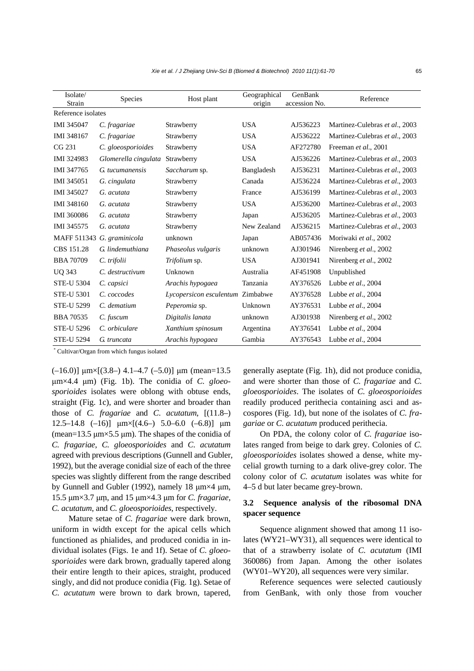| Isolate/<br>Strain | <b>Species</b>             | Host plant              | Geographical<br>origin | GenBank<br>accession No. | Reference                      |
|--------------------|----------------------------|-------------------------|------------------------|--------------------------|--------------------------------|
| Reference isolates |                            |                         |                        |                          |                                |
| <b>IMI 345047</b>  | C. fragariae               | Strawberry              | <b>USA</b>             | AJ536223                 | Martinez-Culebras et al., 2003 |
| IMI 348167         | C. fragariae               | Strawberry              | <b>USA</b>             | AJ536222                 | Martinez-Culebras et al., 2003 |
| CG 231             | C. gloeosporioides         | Strawberry              | <b>USA</b>             | AF272780                 | Freeman et al., 2001           |
| IMI 324983         | Glomerella cingulata       | Strawberry              | <b>USA</b>             | AJ536226                 | Martinez-Culebras et al., 2003 |
| IMI 347765         | G. tucumanensis            | Saccharum sp.           | Bangladesh             | AJ536231                 | Martinez-Culebras et al., 2003 |
| IMI 345051         | G. cingulata               | Strawberry              | Canada                 | AJ536224                 | Martinez-Culebras et al., 2003 |
| <b>IMI 345027</b>  | G. acutata                 | Strawberry              | France                 | AJ536199                 | Martinez-Culebras et al., 2003 |
| IMI 348160         | G. acutata                 | Strawberry              | <b>USA</b>             | AJ536200                 | Martinez-Culebras et al., 2003 |
| <b>IMI 360086</b>  | G. acutata                 | Strawberry              | Japan                  | AJ536205                 | Martinez-Culebras et al., 2003 |
| IMI 345575         | G. acutata                 | Strawberry              | New Zealand            | AJ536215                 | Martinez-Culebras et al., 2003 |
|                    | MAFF 511343 G. graminicola | unknown                 | Japan                  | AB057436                 | Moriwaki et al., 2002          |
| CBS 151.28         | G. lindemuthiana           | Phaseolus vulgaris      | unknown                | AJ301946                 | Nirenberg et al., 2002         |
| <b>BBA 70709</b>   | C. trifolii                | Trifolium sp.           | <b>USA</b>             | AJ301941                 | Nirenberg et al., 2002         |
| <b>UQ 343</b>      | C. destructivum            | Unknown                 | Australia              | AF451908                 | Unpublished                    |
| <b>STE-U 5304</b>  | C. capsici                 | Arachis hypogaea        | Tanzania               | AY376526                 | Lubbe et al., 2004             |
| <b>STE-U 5301</b>  | C. coccodes                | Lycopersicon esculentum | Zimbabwe               | AY376528                 | Lubbe $et$ al., 2004           |
| <b>STE-U 5299</b>  | C. dematium                | Peperomia sp.           | Unknown                | AY376531                 | Lubbe et al., $2004$           |
| <b>BBA70535</b>    | C. fuscum                  | Digitalis lanata        | unknown                | AJ301938                 | Nirenberg et al., 2002         |
| <b>STE-U 5296</b>  | C. orbiculare              | Xanthium spinosum       | Argentina              | AY376541                 | Lubbe et al., 2004             |
| <b>STE-U 5294</b>  | G. truncata                | Arachis hypogaea        | Gambia                 | AY376543                 | Lubbe et al., $2004$           |

\* Cultivar/Organ from which fungus isolated

 $(-16.0)$ ] μm×[(3.8–) 4.1–4.7 (-5.0)] μm (mean=13.5 μm×4.4 μm) (Fig. 1b). The conidia of *C. gloeosporioides* isolates were oblong with obtuse ends, straight (Fig. 1c), and were shorter and broader than those of *C. fragariae* and *C*. *acutatum*, [(11.8–) 12.5–14.8 (–16)]  $\mu$ m×[(4.6–) 5.0–6.0 (–6.8)]  $\mu$ m (mean=13.5  $\mu$ m×5.5  $\mu$ m). The shapes of the conidia of *C. fragariae*, *C. gloeosporioides* and *C*. *acutatum* agreed with previous descriptions (Gunnell and Gubler, 1992), but the average conidial size of each of the three species was slightly different from the range described by Gunnell and Gubler (1992), namely 18 μm×4 μm, 15.5 μm×3.7 μm, and 15 μm×4.3 μm for *C. fragariae*, *C. acutatum*, and *C. gloeosporioides*, respectively.

Mature setae of *C. fragariae* were dark brown, uniform in width except for the apical cells which functioned as phialides, and produced conidia in individual isolates (Figs. 1e and 1f). Setae of *C. gloeosporioides* were dark brown, gradually tapered along their entire length to their apices, straight, produced singly, and did not produce conidia (Fig. 1g). Setae of *C. acutatum* were brown to dark brown, tapered, generally aseptate (Fig. 1h), did not produce conidia, and were shorter than those of *C. fragariae* and *C. gloeosporioides*. The isolates of *C. gloeosporioides*  readily produced perithecia containing asci and ascospores (Fig. 1d), but none of the isolates of *C. fragariae* or *C. acutatum* produced perithecia.

On PDA, the colony color of *C. fragariae* isolates ranged from beige to dark grey. Colonies of *C. gloeosporioides* isolates showed a dense, white mycelial growth turning to a dark olive-grey color. The colony color of *C. acutatum* isolates was white for 4–5 d but later became grey-brown.

# **3.2 Sequence analysis of the ribosomal DNA spacer sequence**

Sequence alignment showed that among 11 isolates (WY21–WY31), all sequences were identical to that of a strawberry isolate of *C. acutatum* (IMI 360086) from Japan. Among the other isolates (WY01–WY20), all sequences were very similar.

Reference sequences were selected cautiously from GenBank, with only those from voucher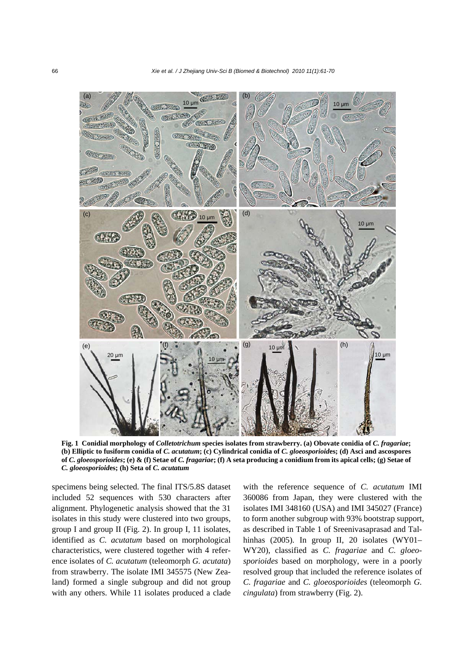

**Fig. 1 Conidial morphology of** *Colletotrichum* **species isolates from strawberry. (a) Obovate conidia of** *C. fragariae***; (b) Elliptic to fusiform conidia of** *C. acutatum***; (c) Cylindrical conidia of** *C. gloeosporioid***es; (d) Asci and ascospores of** *C. gloeosporioides***; (e) & (f) Setae of** *C. fragariae***; (f) A seta producing a conidium from its apical cells; (g) Setae of**  *C. gloeosporioid***es; (h) Seta of** *C. acutatum*

specimens being selected. The final ITS/5.8S dataset included 52 sequences with 530 characters after alignment. Phylogenetic analysis showed that the 31 isolates in this study were clustered into two groups, group I and group II (Fig. 2). In group I, 11 isolates, identified as *C. acutatum* based on morphological characteristics, were clustered together with 4 reference isolates of *C. acutatum* (teleomorph *G. acutata*) from strawberry. The isolate IMI 345575 (New Zealand) formed a single subgroup and did not group with any others. While 11 isolates produced a clade with the reference sequence of *C. acutatum* IMI 360086 from Japan, they were clustered with the isolates IMI 348160 (USA) and IMI 345027 (France) to form another subgroup with 93% bootstrap support, as described in Table 1 of Sreenivasaprasad and Talhinhas (2005). In group II, 20 isolates (WY01– WY20), classified as *C. fragariae* and *C. gloeosporioides* based on morphology, were in a poorly resolved group that included the reference isolates of *C. fragariae* and *C. gloeosporioides* (teleomorph *G. cingulata*) from strawberry (Fig. 2).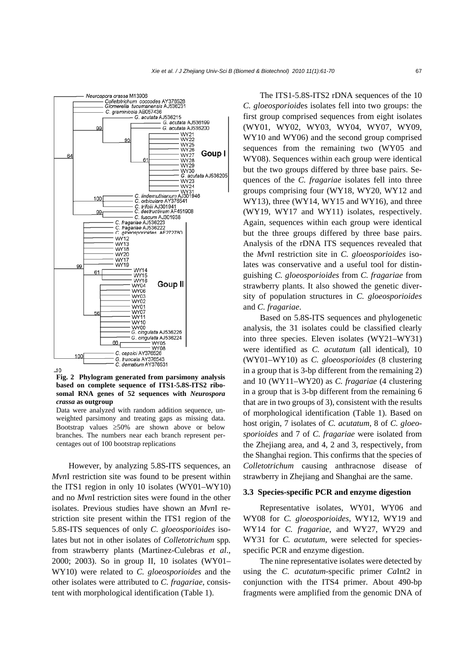

**Fig. 2 Phylogram generated from parsimony analysis based on complete sequence of ITS1-5.8S-ITS2 ribosomal RNA genes of 52 sequences with** *Neurospora crassa* **as outgroup**

Data were analyzed with random addition sequence, unweighted parsimony and treating gaps as missing data. Bootstrap values  $\geq 50\%$  are shown above or below branches. The numbers near each branch represent percentages out of 100 bootstrap replications

However, by analyzing 5.8S-ITS sequences, an *Mvn*I restriction site was found to be present within the ITS1 region in only 10 isolates (WY01–WY10) and no *Mvn*I restriction sites were found in the other isolates. Previous studies have shown an *Mvn*I restriction site present within the ITS1 region of the 5.8S-ITS sequences of only *C. gloeosporioides* isolates but not in other isolates of *Colletotrichum* spp*.* from strawberry plants (Martinez-Culebras *et al*., 2000; 2003). So in group II, 10 isolates (WY01– WY10) were related to *C. gloeosporioides* and the other isolates were attributed to *C. fragariae*, consistent with morphological identification (Table 1).

The ITS1-5.8S-ITS2 rDNA sequences of the 10 *C. gloeosporioid*es isolates fell into two groups: the first group comprised sequences from eight isolates (WY01, WY02, WY03, WY04, WY07, WY09, WY10 and WY06) and the second group comprised sequences from the remaining two (WY05 and WY08). Sequences within each group were identical but the two groups differed by three base pairs. Sequences of the *C. fragariae* isolates fell into three groups comprising four (WY18, WY20, WY12 and WY13), three (WY14, WY15 and WY16), and three (WY19, WY17 and WY11) isolates, respectively. Again, sequences within each group were identical but the three groups differed by three base pairs. Analysis of the rDNA ITS sequences revealed that the *Mvn*I restriction site in *C. gloeosporioides* isolates was conservative and a useful tool for distinguishing *C. gloeosporioides* from *C. fragariae* from strawberry plants. It also showed the genetic diversity of population structures in *C. gloeosporioides* and *C. fragariae*.

Based on 5.8S-ITS sequences and phylogenetic analysis, the 31 isolates could be classified clearly into three species. Eleven isolates (WY21–WY31) were identified as *C. acutatum* (all identical), 10 (WY01–WY10) as *C. gloeosporioides* (8 clustering in a group that is 3-bp different from the remaining 2) and 10 (WY11–WY20) as *C. fragariae* (4 clustering in a group that is 3-bp different from the remaining 6 that are in two groups of 3), consistent with the results of morphological identification (Table 1). Based on host origin, 7 isolates of *C. acutatum*, 8 of *C. gloeosporioides* and 7 of *C. fragariae* were isolated from the Zhejiang area, and 4, 2 and 3, respectively, from the Shanghai region. This confirms that the species of *Colletotrichum* causing anthracnose disease of strawberry in Zhejiang and Shanghai are the same.

## **3.3 Species-specific PCR and enzyme digestion**

Representative isolates, WY01, WY06 and WY08 for *C. gloeosporioides*, WY12, WY19 and WY14 for *C. fragariae*, and WY27, WY29 and WY31 for *C. acutatum*, were selected for speciesspecific PCR and enzyme digestion.

The nine representative isolates were detected by using the *C. acutatum*-specific primer *Ca*Int2 in conjunction with the ITS4 primer. About 490-bp fragments were amplified from the genomic DNA of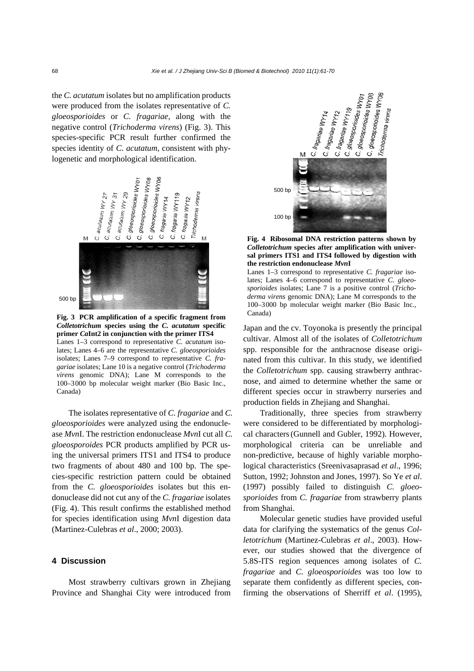the *C. acutatum* isolates but no amplification products were produced from the isolates representative of *C. gloeosporioides* or *C. fragariae*, along with the negative control (*Trichoderma virens*) (Fig. 3). This species-specific PCR result further confirmed the species identity of *C. acutatum*, consistent with phylogenetic and morphological identification.



**Fig. 3 PCR amplification of a specific fragment from**  *Colletotrichum* **species using the** *C. acutatum* **specific primer** *Ca***Int2 in conjunction with the primer ITS4** Lanes 1–3 correspond to representative *C. acutatum* isolates; Lanes 4–6 are the representative *C. gloeosporioides* isolates; Lanes 7–9 correspond to representative *C. fragariae* isolates; Lane 10 is a negative control (*Trichoderma virens* genomic DNA); Lane M corresponds to the 100–3000 bp molecular weight marker (Bio Basic Inc., Canada)

The isolates representative of *C. fragariae* and *C. gloeosporioides* were analyzed using the endonuclease *Mvn*I. The restriction endonuclease *Mvn*I cut all *C. gloeosporoides* PCR products amplified by PCR using the universal primers ITS1 and ITS4 to produce two fragments of about 480 and 100 bp. The species-specific restriction pattern could be obtained from the *C. gloeosporioides* isolates but this endonuclease did not cut any of the *C. fragariae* isolates (Fig. 4). This result confirms the established method for species identification using *Mvn*I digestion data (Martinez-Culebras *et al*., 2000; 2003).

#### **4 Discussion**

Most strawberry cultivars grown in Zhejiang Province and Shanghai City were introduced from



**Fig. 4 Ribosomal DNA restriction patterns shown by**  *Colletotrichum* **species after amplification with universal primers ITS1 and ITS4 followed by digestion with the restriction endonuclease** *Mvn***I**

Lanes 1–3 correspond to representative *C. fragariae* isolates; Lanes 4–6 correspond to representative *C. gloeosporioides* isolates; Lane 7 is a positive control (*Trichoderma virens* genomic DNA); Lane M corresponds to the 100–3000 bp molecular weight marker (Bio Basic Inc., Canada)

Japan and the cv. Toyonoka is presently the principal cultivar. Almost all of the isolates of *Colletotrichum* spp. responsible for the anthracnose disease originated from this cultivar. In this study, we identified the *Colletotrichum* spp. causing strawberry anthracnose, and aimed to determine whether the same or different species occur in strawberry nurseries and production fields in Zhejiang and Shanghai.

Traditionally, three species from strawberry were considered to be differentiated by morphological characters(Gunnell and Gubler, 1992). However, morphological criteria can be unreliable and non-predictive, because of highly variable morphological characteristics (Sreenivasaprasad *et al*., 1996; Sutton, 1992; Johnston and Jones, 1997). So Ye *et al*. (1997) possibly failed to distinguish *C. gloeosporioides* from *C. fragariae* from strawberry plants from Shanghai.

Molecular genetic studies have provided useful data for clarifying the systematics of the genus *Colletotrichum* (Martinez-Culebras *et al*., 2003). However, our studies showed that the divergence of 5.8S-ITS region sequences among isolates of *C. fragariae* and *C. gloeosporioides* was too low to separate them confidently as different species, confirming the observations of Sherriff *et al*. (1995),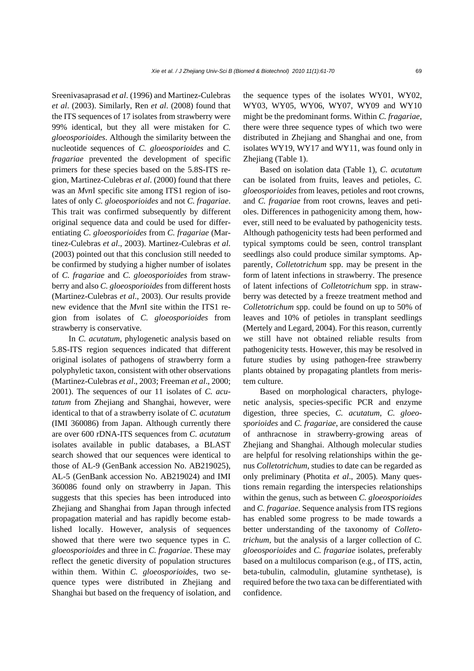Sreenivasaprasad *et al*. (1996) and Martinez-Culebras *et al*. (2003). Similarly, Ren *et al*. (2008) found that the ITS sequences of 17 isolates from strawberry were 99% identical, but they all were mistaken for *C. gloeosporioides*. Although the similarity between the nucleotide sequences of *C. gloeosporioides* and *C. fragariae* prevented the development of specific primers for these species based on the 5.8S-ITS region, Martinez-Culebras *et al*. (2000) found that there was an *Mvn*I specific site among ITS1 region of isolates of only *C. gloeosporioides* and not *C. fragariae*. This trait was confirmed subsequently by different original sequence data and could be used for differentiating *C. gloeosporioides* from *C. fragariae* (Martinez-Culebras *et al*., 2003). Martinez-Culebras *et al*. (2003) pointed out that this conclusion still needed to be confirmed by studying a higher number of isolates of *C. fragariae* and *C. gloeosporioides* from strawberry and also *C. gloeosporioides* from different hosts (Martinez-Culebras *et al*., 2003). Our results provide new evidence that the *Mvn*I site within the ITS1 region from isolates of *C. gloeosporioides* from strawberry is conservative.

In *C. acutatum*, phylogenetic analysis based on 5.8S-ITS region sequences indicated that different original isolates of pathogens of strawberry form a polyphyletic taxon, consistent with other observations (Martinez-Culebras *et al*., 2003; Freeman *et al*., 2000; 2001). The sequences of our 11 isolates of *C. acutatum* from Zhejiang and Shanghai, however, were identical to that of a strawberry isolate of *C. acutatum* (IMI 360086) from Japan. Although currently there are over 600 rDNA-ITS sequences from *C. acutatum* isolates available in public databases, a BLAST search showed that our sequences were identical to those of AL-9 (GenBank accession No. AB219025), AL-5 (GenBank accession No. AB219024) and IMI 360086 found only on strawberry in Japan. This suggests that this species has been introduced into Zhejiang and Shanghai from Japan through infected propagation material and has rapidly become established locally. However, analysis of sequences showed that there were two sequence types in *C. gloeosporioides* and three in *C. fragariae*. These may reflect the genetic diversity of population structures within them. Within *C. gloeosporioid*es, two sequence types were distributed in Zhejiang and Shanghai but based on the frequency of isolation, and the sequence types of the isolates WY01, WY02, WY03, WY05, WY06, WY07, WY09 and WY10 might be the predominant forms. Within *C. fragariae*, there were three sequence types of which two were distributed in Zhejiang and Shanghai and one, from isolates WY19, WY17 and WY11, was found only in Zhejiang (Table 1).

Based on isolation data (Table 1), *C. acutatum* can be isolated from fruits, leaves and petioles, *C. gloeosporioides* from leaves, petioles and root crowns, and *C. fragariae* from root crowns, leaves and petioles. Differences in pathogenicity among them, however, still need to be evaluated by pathogenicity tests. Although pathogenicity tests had been performed and typical symptoms could be seen, control transplant seedlings also could produce similar symptoms. Apparently, *Colletotrichum* spp. may be present in the form of latent infections in strawberry. The presence of latent infections of *Colletotrichum* spp. in strawberry was detected by a freeze treatment method and *Colletotrichum* spp. could be found on up to 50% of leaves and 10% of petioles in transplant seedlings (Mertely and Legard, 2004). For this reason, currently we still have not obtained reliable results from pathogenicity tests. However, this may be resolved in future studies by using pathogen-free strawberry plants obtained by propagating plantlets from meristem culture.

Based on morphological characters, phylogenetic analysis, species-specific PCR and enzyme digestion, three species, *C. acutatum*, *C. gloeosporioides* and *C. fragariae*, are considered the cause of anthracnose in strawberry-growing areas of Zhejiang and Shanghai. Although molecular studies are helpful for resolving relationships within the genus *Colletotrichum*, studies to date can be regarded as only preliminary (Photita *et al*., 2005). Many questions remain regarding the interspecies relationships within the genus, such as between *C. gloeosporioides* and *C. fragariae*. Sequence analysis from ITS regions has enabled some progress to be made towards a better understanding of the taxonomy of *Colletotrichum*, but the analysis of a larger collection of *C. gloeosporioides* and *C. fragariae* isolates, preferably based on a multilocus comparison (e.g., of ITS, actin, beta-tubulin, calmodulin, glutamine synthetase), is required before the two taxa can be differentiated with confidence.